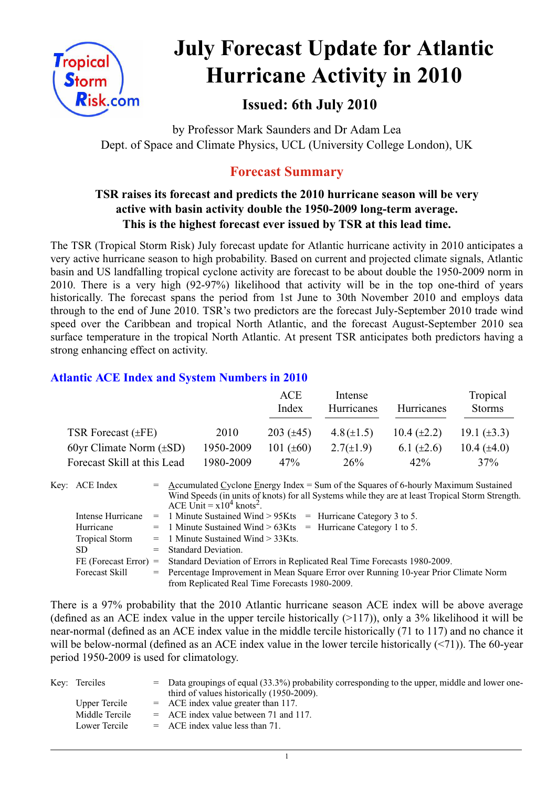

# **July Forecast Update for Atlantic Hurricane Activity in 2010**

# **Issued: 6th July 2010**

by Professor Mark Saunders and Dr Adam Lea Dept. of Space and Climate Physics, UCL (University College London), UK

# **Forecast Summary**

## **TSR raises its forecast and predicts the 2010 hurricane season will be very active with basin activity double the 1950-2009 long-term average. This is the highest forecast ever issued by TSR at this lead time.**

The TSR (Tropical Storm Risk) July forecast update for Atlantic hurricane activity in 2010 anticipates a very active hurricane season to high probability. Based on current and projected climate signals, Atlantic basin and US landfalling tropical cyclone activity are forecast to be about double the 1950-2009 norm in 2010. There is a very high (92-97%) likelihood that activity will be in the top one-third of years historically. The forecast spans the period from 1st June to 30th November 2010 and employs data through to the end of June 2010. TSR's two predictors are the forecast July-September 2010 trade wind speed over the Caribbean and tropical North Atlantic, and the forecast August-September 2010 sea surface temperature in the tropical North Atlantic. At present TSR anticipates both predictors having a strong enhancing effect on activity.

## **Atlantic ACE Index and System Numbers in 2010**

|                              |           | ACE<br>Index   | Intense<br>Hurricanes | <b>Hurricanes</b>  | Tropical<br><b>Storms</b> |
|------------------------------|-----------|----------------|-----------------------|--------------------|---------------------------|
| TSR Forecast $(\pm FE)$      | 2010      | 203 $(\pm 45)$ | $4.8(\pm 1.5)$        | $10.4 \ (\pm 2.2)$ | 19.1 $(\pm 3.3)$          |
| 60yr Climate Norm $(\pm SD)$ | 1950-2009 | 101 $(\pm 60)$ | $2.7(\pm 1.9)$        | 6.1 $(\pm 2.6)$    | 10.4 $(\pm 4.0)$          |
| Forecast Skill at this Lead  | 1980-2009 | 47%            | 26%                   | 42%                | 37%                       |

| Key: ACE Index          | $=$ Accumulated Cyclone Energy Index = Sum of the Squares of 6-hourly Maximum Sustained<br>Wind Speeds (in units of knots) for all Systems while they are at least Tropical Storm Strength.<br>ACE Unit = $x10^4$ knots <sup>2</sup> . |  |  |  |  |
|-------------------------|----------------------------------------------------------------------------------------------------------------------------------------------------------------------------------------------------------------------------------------|--|--|--|--|
| Intense Hurricane       | $=$ 1 Minute Sustained Wind > 95Kts $=$ Hurricane Category 3 to 5.                                                                                                                                                                     |  |  |  |  |
| Hurricane               | $=$ 1 Minute Sustained Wind > 63Kts = Hurricane Category 1 to 5.                                                                                                                                                                       |  |  |  |  |
| Tropical Storm          | $=$ 1 Minute Sustained Wind $>$ 33Kts.                                                                                                                                                                                                 |  |  |  |  |
| SD.                     | $=$ Standard Deviation.                                                                                                                                                                                                                |  |  |  |  |
| $FE$ (Forecast Error) = | Standard Deviation of Errors in Replicated Real Time Forecasts 1980-2009.                                                                                                                                                              |  |  |  |  |
| Forecast Skill          | = Percentage Improvement in Mean Square Error over Running 10-year Prior Climate Norm                                                                                                                                                  |  |  |  |  |
|                         | from Replicated Real Time Forecasts 1980-2009.                                                                                                                                                                                         |  |  |  |  |

There is a 97% probability that the 2010 Atlantic hurricane season ACE index will be above average (defined as an ACE index value in the upper tercile historically  $(>117)$ ), only a 3% likelihood it will be near-normal (defined as an ACE index value in the middle tercile historically (71 to 117) and no chance it will be below-normal (defined as an ACE index value in the lower tercile historically (<71)). The 60-year period 1950-2009 is used for climatology.

| Key: Terciles  | $=$ Data groupings of equal (33.3%) probability corresponding to the upper, middle and lower one-<br>third of values historically (1950-2009). |
|----------------|------------------------------------------------------------------------------------------------------------------------------------------------|
| Upper Tercile  | $=$ ACE index value greater than 117.                                                                                                          |
| Middle Tercile | $=$ ACE index value between 71 and 117.                                                                                                        |
| Lower Tercile  | $=$ ACE index value less than 71.                                                                                                              |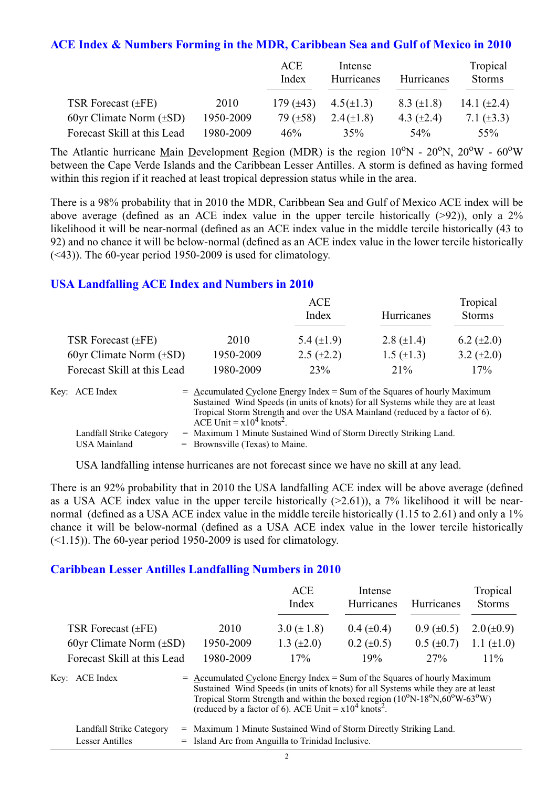#### **ACE Index & Numbers Forming in the MDR, Caribbean Sea and Gulf of Mexico in 2010**

|                              |           | ACE<br>Index   | Intense<br>Hurricanes | Hurricanes        | Tropical<br><b>Storms</b> |
|------------------------------|-----------|----------------|-----------------------|-------------------|---------------------------|
| TSR Forecast $(\pm FE)$      | 2010      | 179 $(\pm 43)$ | $4.5(\pm 1.3)$        | $8.3 \ (\pm 1.8)$ | 14.1 $(\pm 2.4)$          |
| 60yr Climate Norm $(\pm SD)$ | 1950-2009 | 79 $(\pm 58)$  | $2.4(\pm 1.8)$        | 4.3 $(\pm 2.4)$   | 7.1 $(\pm 3.3)$           |
| Forecast Skill at this Lead  | 1980-2009 | 46%            | 35%                   | .54%              | 55%                       |

The Atlantic hurricane Main Development Region (MDR) is the region  $10^{\circ}$ N -  $20^{\circ}$ N,  $20^{\circ}$ W -  $60^{\circ}$ W between the Cape Verde Islands and the Caribbean Lesser Antilles. A storm is defined as having formed within this region if it reached at least tropical depression status while in the area.

There is a 98% probability that in 2010 the MDR, Caribbean Sea and Gulf of Mexico ACE index will be above average (defined as an ACE index value in the upper tercile historically (>92)), only a 2% likelihood it will be near-normal (defined as an ACE index value in the middle tercile historically (43 to 92) and no chance it will be below-normal (defined as an ACE index value in the lower tercile historically (<43)). The 60-year period 1950-2009 is used for climatology.

#### **USA Landfalling ACE Index and Numbers in 2010**

|                              |           | ACE<br>Index    | Hurricanes        | Tropical<br><b>Storms</b> |
|------------------------------|-----------|-----------------|-------------------|---------------------------|
| TSR Forecast $(\pm FE)$      | 2010      | 5.4 $(\pm 1.9)$ | 2.8 $(\pm 1.4)$   | 6.2 $(\pm 2.0)$           |
| 60yr Climate Norm $(\pm SD)$ | 1950-2009 | $2.5 (\pm 2.2)$ | $1.5 \ (\pm 1.3)$ | 3.2 $(\pm 2.0)$           |
| Forecast Skill at this Lead  | 1980-2009 | 23%             | $21\%$            | 17%                       |

| Key: ACE Index           | $=$ Accumulated Cyclone Energy Index $=$ Sum of the Squares of hourly Maximum     |
|--------------------------|-----------------------------------------------------------------------------------|
|                          | Sustained Wind Speeds (in units of knots) for all Systems while they are at least |
|                          | Tropical Storm Strength and over the USA Mainland (reduced by a factor of 6).     |
|                          | ACE Unit = $x10^4$ knots <sup>2</sup> .                                           |
| Landfall Strike Category | = Maximum 1 Minute Sustained Wind of Storm Directly Striking Land.                |
| USA Mainland             | $=$ Brownsville (Texas) to Maine.                                                 |

USA landfalling intense hurricanes are not forecast since we have no skill at any lead.

There is an 92% probability that in 2010 the USA landfalling ACE index will be above average (defined as a USA ACE index value in the upper tercile historically  $(>2.61)$ ), a 7% likelihood it will be nearnormal (defined as a USA ACE index value in the middle tercile historically (1.15 to 2.61) and only a 1% chance it will be below-normal (defined as a USA ACE index value in the lower tercile historically  $(\leq 1.15)$ ). The 60-year period 1950-2009 is used for climatology.

#### **Caribbean Lesser Antilles Landfalling Numbers in 2010**

|                              |                                                                                                                                                                  | <b>ACE</b><br>Index                                                                                     | Intense<br>Hurricanes | Hurricanes        | Tropical<br><b>Storms</b> |
|------------------------------|------------------------------------------------------------------------------------------------------------------------------------------------------------------|---------------------------------------------------------------------------------------------------------|-----------------------|-------------------|---------------------------|
| TSR Forecast $(\pm FE)$      | 2010                                                                                                                                                             | 3.0 $(\pm 1.8)$                                                                                         | $0.4~(\pm 0.4)$       | $0.9 \ (\pm 0.5)$ | $2.0(\pm 0.9)$            |
| 60yr Climate Norm $(\pm SD)$ | 1950-2009                                                                                                                                                        | 1.3 $(\pm 2.0)$                                                                                         | $0.2 \ (\pm 0.5)$     | $0.5 (\pm 0.7)$   | 1.1 $(\pm 1.0)$           |
| Forecast Skill at this Lead  | 1980-2009                                                                                                                                                        | 17%                                                                                                     | 19%                   | 27%               | $11\%$                    |
| Key: ACE Index               | $=$ Accumulated Cyclone Energy Index = Sum of the Squares of hourly Maximum<br>Sustained Wind Speeds (in units of knots) for all Systems while they are at least | Tropical Storm Strength and within the boxed region $(10^{\circ}N-18^{\circ}N,60^{\circ}W-63^{\circ}W)$ |                       |                   |                           |

| Landfall Strike Category | = Maximum 1 Minute Sustained Wind of Storm Directly Striking Land. |
|--------------------------|--------------------------------------------------------------------|
| Lesser Antilles          | = Island Arc from Anguilla to Trinidad Inclusive.                  |

(reduced by a factor of 6). ACE Unit =  $x10^4$  knots<sup>2</sup>.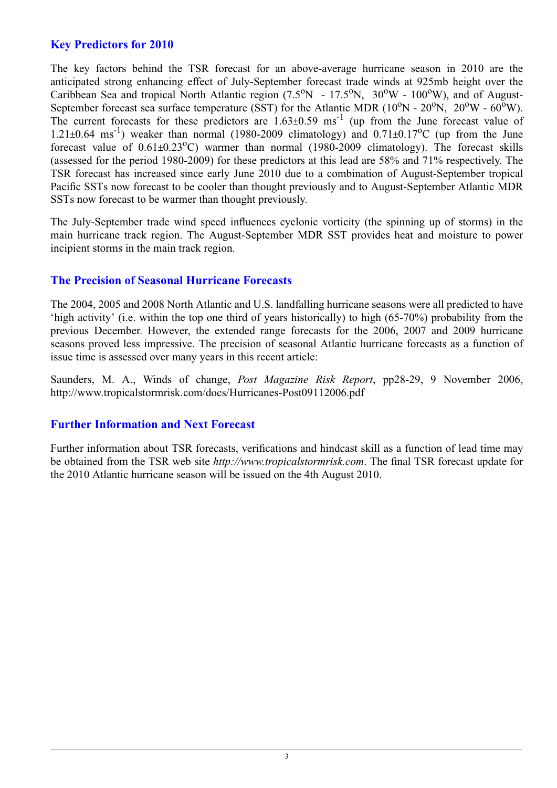### **Key Predictors for 2010**

The key factors behind the TSR forecast for an above-average hurricane season in 2010 are the anticipated strong enhancing effect of July-September forecast trade winds at 925mb height over the Caribbean Sea and tropical North Atlantic region (7.5°N - 17.5°N, 30°W - 100°W), and of August-September forecast sea surface temperature (SST) for the Atlantic MDR  $(10^{\circ}N - 20^{\circ}N, 20^{\circ}W - 60^{\circ}W)$ . The current forecasts for these predictors are  $1.63\pm0.59$  ms<sup>-1</sup> (up from the June forecast value of 1.21 $\pm$ 0.64 ms<sup>-1</sup>) weaker than normal (1980-2009 climatology) and 0.71 $\pm$ 0.17<sup>o</sup>C (up from the June forecast value of  $0.61\pm0.23$ °C) warmer than normal (1980-2009 climatology). The forecast skills (assessed for the period 1980-2009) for these predictors at this lead are 58% and 71% respectively. The TSR forecast has increased since early June 2010 due to a combination of August-September tropical Pacific SSTs now forecast to be cooler than thought previously and to August-September Atlantic MDR SSTs now forecast to be warmer than thought previously.

The July-September trade wind speed influences cyclonic vorticity (the spinning up of storms) in the main hurricane track region. The August-September MDR SST provides heat and moisture to power incipient storms in the main track region.

#### **The Precision of Seasonal Hurricane Forecasts**

The 2004, 2005 and 2008 North Atlantic and U.S. landfalling hurricane seasons were all predicted to have 'high activity' (i.e. within the top one third of years historically) to high (65-70%) probability from the previous December. However, the extended range forecasts for the 2006, 2007 and 2009 hurricane seasons proved less impressive. The precision of seasonal Atlantic hurricane forecasts as a function of issue time is assessed over many years in this recent article:

Saunders, M. A., Winds of change, *Post Magazine Risk Report*, pp28-29, 9 November 2006, http://www.tropicalstormrisk.com/docs/Hurricanes-Post09112006.pdf

#### **Further Information and Next Forecast**

Further information about TSR forecasts, verifications and hindcast skill as a function of lead time may be obtained from the TSR web site *http://www.tropicalstormrisk.com*. The final TSR forecast update for the 2010 Atlantic hurricane season will be issued on the 4th August 2010.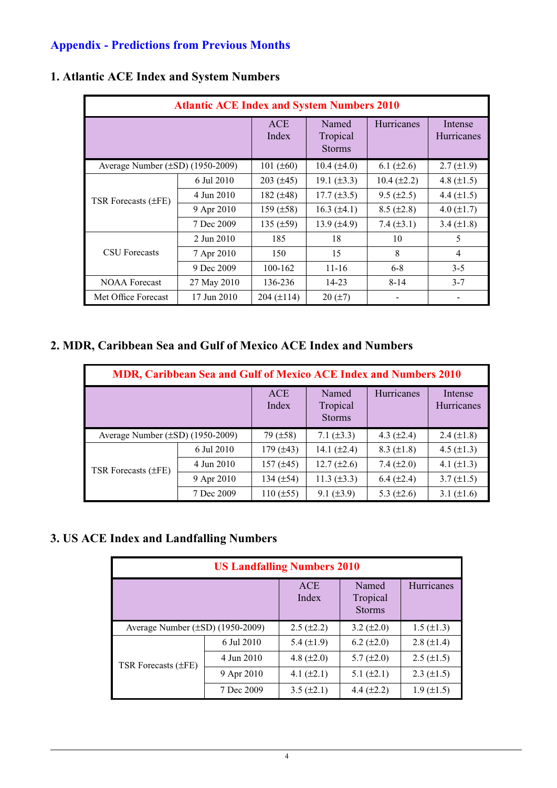## **Appendix - Predictions from Previous Months**

| <b>Atlantic ACE Index and System Numbers 2010</b> |                     |                                    |                   |                              |                   |  |  |
|---------------------------------------------------|---------------------|------------------------------------|-------------------|------------------------------|-------------------|--|--|
|                                                   | <b>ACE</b><br>Index | Named<br>Tropical<br><b>Storms</b> | <b>Hurricanes</b> | Intense<br><b>Hurricanes</b> |                   |  |  |
| Average Number $(\pm SD)$ (1950-2009)             |                     | 101 $(\pm 60)$                     | $10.4 (\pm 4.0)$  | 6.1 $(\pm 2.6)$              | $2.7 \ (\pm 1.9)$ |  |  |
|                                                   | 6 Jul 2010          | $203 (\pm 45)$                     | 19.1 $(\pm 3.3)$  | $10.4 (\pm 2.2)$             | 4.8 $(\pm 1.5)$   |  |  |
| TSR Forecasts (±FE)                               | 4 Jun 2010          | 182 $(\pm 48)$                     | $17.7 (\pm 3.5)$  | $9.5 \ (\pm 2.5)$            | 4.4 $(\pm 1.5)$   |  |  |
|                                                   | 9 Apr 2010          | 159 $(\pm 58)$                     | 16.3 $(\pm 4.1)$  | $8.5 (\pm 2.8)$              | 4.0 $(\pm 1.7)$   |  |  |
|                                                   | 7 Dec 2009          | 135 $(\pm 59)$                     | 13.9 $(\pm 4.9)$  | 7.4 $(\pm 3.1)$              | 3.4 $(\pm 1.8)$   |  |  |
|                                                   | 2 Jun 2010          | 185                                | 18                | 10                           | 5                 |  |  |
| <b>CSU</b> Forecasts                              | 7 Apr 2010          | 150                                | 15                | 8                            | $\overline{4}$    |  |  |
|                                                   | 9 Dec 2009          | 100-162                            | $11 - 16$         | $6 - 8$                      | $3 - 5$           |  |  |
| <b>NOAA Forecast</b>                              | 27 May 2010         | 136-236                            | 14-23             | $8 - 14$                     | $3 - 7$           |  |  |
| Met Office Forecast                               | 17 Jun 2010         | $204 (\pm 114)$                    | $20 (\pm 7)$      |                              |                   |  |  |

## **1. Atlantic ACE Index and System Numbers**

## **2. MDR, Caribbean Sea and Gulf of Mexico ACE Index and Numbers**

| <b>MDR, Caribbean Sea and Gulf of Mexico ACE Index and Numbers 2010</b> |                     |                                    |                  |                       |                 |  |  |  |
|-------------------------------------------------------------------------|---------------------|------------------------------------|------------------|-----------------------|-----------------|--|--|--|
|                                                                         | <b>ACE</b><br>Index | Named<br>Tropical<br><b>Storms</b> | Hurricanes       | Intense<br>Hurricanes |                 |  |  |  |
| Average Number $(\pm SD)$ (1950-2009)                                   |                     | 79 $(\pm 58)$                      | 7.1 $(\pm 3.3)$  | 4.3 $(\pm 2.4)$       | 2.4 $(\pm 1.8)$ |  |  |  |
| TSR Forecasts $(\pm FE)$                                                | 6 Jul 2010          | 179 $(\pm 43)$                     | 14.1 $(\pm 2.4)$ | $8.3 \ (\pm 1.8)$     | 4.5 $(\pm 1.3)$ |  |  |  |
|                                                                         | 4 Jun 2010          | 157 $(\pm 45)$                     | $12.7 (\pm 2.6)$ | 7.4 $(\pm 2.0)$       | 4.1 $(\pm 1.3)$ |  |  |  |
|                                                                         | 9 Apr 2010          | 134 $(\pm 54)$                     | 11.3 $(\pm 3.3)$ | $6.4 \ (\pm 2.4)$     | $3.7 (\pm 1.5)$ |  |  |  |
|                                                                         | 7 Dec 2009          | $110 (\pm 55)$                     | $9.1 (\pm 3.9)$  | 5.3 $(\pm 2.6)$       | 3.1 $(\pm 1.6)$ |  |  |  |

## **3. US ACE Index and Landfalling Numbers**

| <b>US Landfalling Numbers 2010</b>    |                 |                     |                                    |                   |  |  |  |
|---------------------------------------|-----------------|---------------------|------------------------------------|-------------------|--|--|--|
|                                       |                 | <b>ACE</b><br>Index | Named<br>Tropical<br><b>Storms</b> | Hurricanes        |  |  |  |
| Average Number $(\pm SD)$ (1950-2009) | $2.5 (\pm 2.2)$ | 3.2 $(\pm 2.0)$     | $1.5 \ (\pm 1.3)$                  |                   |  |  |  |
| TSR Forecasts (±FE)                   | 6 Jul 2010      | 5.4 $(\pm 1.9)$     | $6.2 (\pm 2.0)$                    | 2.8 $(\pm 1.4)$   |  |  |  |
|                                       | 4 Jun 2010      | 4.8 $(\pm 2.0)$     | $5.7 (\pm 2.0)$                    | $2.5 \ (\pm 1.5)$ |  |  |  |
|                                       | 9 Apr 2010      | 4.1 $(\pm 2.1)$     | 5.1 $(\pm 2.1)$                    | $2.3 \ (\pm 1.5)$ |  |  |  |
|                                       | 7 Dec 2009      | $3.5 (\pm 2.1)$     | 4.4 $(\pm 2.2)$                    | $1.9 \ (\pm 1.5)$ |  |  |  |